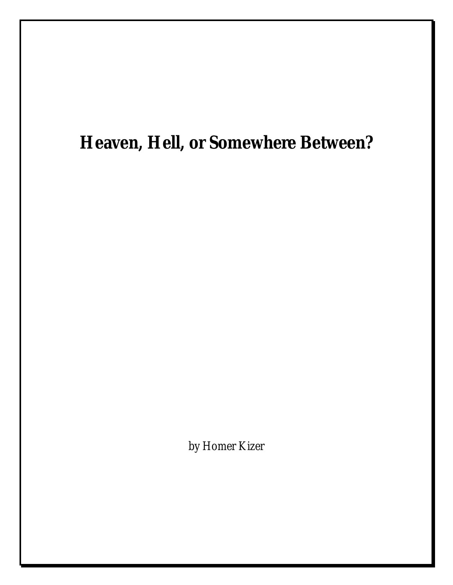## **Heaven, Hell, or Somewhere Between?**

by Homer Kizer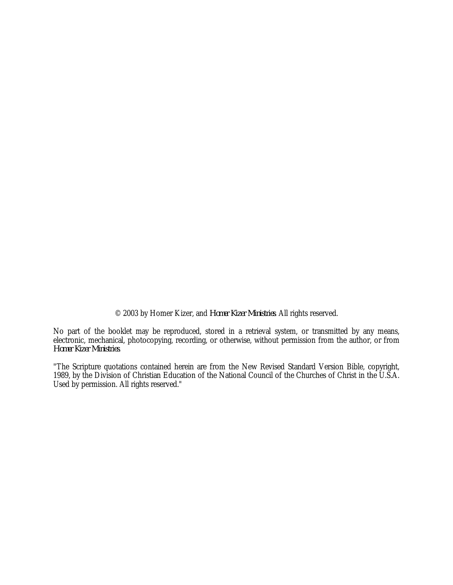© 2003 by Homer Kizer, and *Homer Kizer Ministries*. All rights reserved.

No part of the booklet may be reproduced, stored in a retrieval system, or transmitted by any means, electronic, mechanical, photocopying, recording, or otherwise, without permission from the author, or from *Homer Kizer Ministries*.

"The Scripture quotations contained herein are from the New Revised Standard Version Bible, copyright, 1989, by the Division of Christian Education of the National Council of the Churches of Christ in the U.S.A. Used by permission. All rights reserved."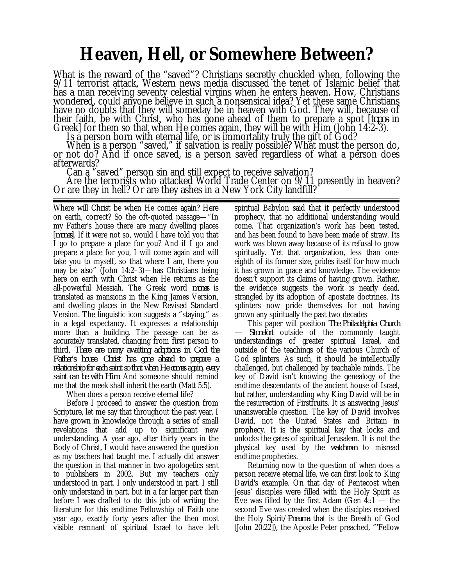## **Heaven, Hell, or Somewhere Between?**

What is the reward of the "saved"? Christians secretly chuckled when, following the 9/11 terrorist attack, Western news media discussed the tenet of Islamic belief that has a man receiving seventy celestial virgins when he enters heaven. How, Christians wondered, could anyone believe in such a nonsensical idea? Yet these same Christians have no doubts that they will someday be in heaven with God. They will, because of their faith, be with Christ, who has gone ahead of them to prepare a spot [*topos* in Greek] for them so that when He comes again, they will be with Him (John 14:2-3).

Is a person born with eternal life, or is immortality truly the gift of God?

When is a person "saved," if salvation is really possible? What must the person do, or not do? And if once saved, is a person saved regardless of what a person does afterwards?

Can a "saved" person sin and still expect to receive salvation? Are the terrorists who attacked World Trade Center on 9/11 presently in heaven? Or are they in hell? Or are they ashes in a New York City landfill?

Where will Christ be when He comes again? Here on earth, correct? So the oft-quoted passage—"In my Father's house there are many dwelling places [*mones*]. If it were not so, would I have told you that I go to prepare a place for you? And if I go and prepare a place for you, I will come again and will take you to myself, so that where I am, there you may be also" (John 14:2–3)—has Christians being here on earth with Christ when He returns as the all-powerful Messiah. The Greek word *mones* is translated as mansions in the King James Version, and dwelling places in the New Revised Standard Version. The linguistic icon suggests a "staying," as in a legal expectancy. It expresses a relationship more than a building. The passage can be as accurately translated, changing from first person to third*, There are many awaiting adoptions in God the Father's house. Christ has gone ahead to prepare a relationship for each saint so that when He comes again, every saint can be with Him.* And someone should remind me that the meek shall inherit the earth (Matt 5:5).

When does a person receive eternal life?

Before I proceed to answer the question from Scripture, let me say that throughout the past year, I have grown in knowledge through a series of small revelations that add up to significant new understanding. A year ago, after thirty years in the Body of Christ, I would have answered the question as my teachers had taught me. I actually did answer the question in that manner in two apologetics sent to publishers in 2002. But my teachers only understood in part. I only understood in part. I still only understand in part, but in a far larger part than before I was drafted to do this job of writing the literature for this endtime Fellowship of Faith one year ago, exactly forty years after the then most visible remnant of spiritual Israel to have left

spiritual Babylon said that it perfectly understood prophecy, that no additional understanding would come. That organization's work has been tested, and has been found to have been made of straw. Its work was blown away because of its refusal to grow spiritually. Yet that organization, less than oneeighth of its former size, prides itself for how much it has grown in grace and knowledge. The evidence doesn't support its claims of having grown. Rather, the evidence suggests the work is nearly dead, strangled by its adoption of apostate doctrines. Its splinters now pride themselves for not having grown any spiritually the past two decades

This paper will position *The Philadelphia Church — Stonefort* outside of the commonly taught understandings of greater spiritual Israel, and outside of the teachings of the various Church of God splinters. As such, it should be intellectually challenged, but challenged by teachable minds. The key of David isn't knowing the genealogy of the endtime descendants of the ancient house of Israel, but rather, understanding why King David will be in the resurrection of Firstfruits. It is answering Jesus' unanswerable question. The key of David involves David, not the United States and Britain in prophecy. It is the spiritual key that locks and unlocks the gates of spiritual Jerusalem. It is not the physical key used by the *watchmen* to misread endtime prophecies.

Returning now to the question of when does a person receive eternal life, we can first look to King David's example. On that day of Pentecost when Jesus' disciples were filled with the Holy Spirit as Eve was filled by the first Adam (Gen  $4:1$  — the second Eve was created when the disciples received the Holy Spirit/*Pneuma* that is the Breath of God [John 20:22]), the Apostle Peter preached, "'Fellow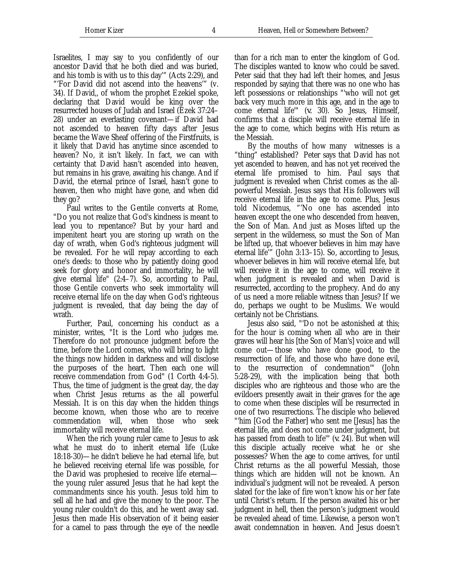Israelites, I may say to you confidently of our ancestor David that he both died and was buried, and his tomb is with us to this day'" (Acts 2:29), and "'For David did not ascend into the heavens'" (v. 34). If David,, of whom the prophet Ezekiel spoke, declaring that David would be king over the resurrected houses of Judah and Israel (Ezek 37:24– 28) under an everlasting covenant—if David had not ascended to heaven fifty days after Jesus became the Wave Sheaf offering of the Firstfruits, is it likely that David has anytime since ascended to heaven? No, it isn't likely. In fact, we can with certainty that David hasn't ascended into heaven, but remains in his grave, awaiting his change. And if David, the eternal prince of Israel, hasn't gone to heaven, then who might have gone, and when did they go?

Paul writes to the Gentile converts at Rome, "Do you not realize that God's kindness is meant to lead you to repentance? But by your hard and impenitent heart you are storing up wrath on the day of wrath, when God's righteous judgment will be revealed. For he will repay according to each one's deeds: to those who by patiently doing good seek for glory and honor and immortality, he will give eternal life" (2:4–7). So, according to Paul, those Gentile converts who seek immortality will receive eternal life on the day when God's righteous judgment is revealed, that day being the day of wrath.

Further, Paul, concerning his conduct as a minister, writes, "It is the Lord who judges me. Therefore do not pronounce judgment before the time, before the Lord comes, who will bring to light the things now hidden in darkness and will disclose the purposes of the heart. Then each one will receive commendation from God" (1 Corth 4:4-5). Thus, the time of judgment is the great day, the day when Christ Jesus returns as the all powerful Messiah. It is on this day when the hidden things become known, when those who are to receive commendation will, when those who seek immortality will receive eternal life.

When the rich young ruler came to Jesus to ask what he must do to inherit eternal life (Luke 18:18-30)—he didn't believe he had eternal life, but he believed receiving eternal life was possible, for the David was prophesied to receive life eternal the young ruler assured Jesus that he had kept the commandments since his youth. Jesus told him to sell all he had and give the money to the poor. The young ruler couldn't do this, and he went away sad. Jesus then made His observation of it being easier for a camel to pass through the eye of the needle than for a rich man to enter the kingdom of God. The disciples wanted to know who could be saved. Peter said that they had left their homes, and Jesus responded by saying that there was no one who has left possessions or relationships "'who will not get back very much more in this age, and in the age to come eternal life'" (*v.* 30). So Jesus, Himself, confirms that a disciple will receive eternal life in the age to come, which begins with His return as the Messiah.

By the mouths of how many witnesses is a "thing" established? Peter says that David has not yet ascended to heaven, and has not yet received the eternal life promised to him. Paul says that judgment is revealed when Christ comes as the allpowerful Messiah. Jesus says that His followers will receive eternal life in the age to come. Plus, Jesus told Nicodemus, "'No one has ascended into heaven except the one who descended from heaven, the Son of Man. And just as Moses lifted up the serpent in the wilderness, so must the Son of Man be lifted up, that whoever believes in him may have eternal life'" (John 3:13–15). So, according to Jesus, whoever believes in him will receive eternal life, but will receive it in the age to come, will receive it when judgment is revealed and when David is resurrected, according to the prophecy. And do any of us need a more reliable witness than Jesus? If we do, perhaps we ought to be Muslims. We would certainly not be Christians.

Jesus also said, "'Do not be astonished at this; for the hour is coming when all who are in their graves will hear his [the Son of Man's] voice and will come out—those who have done good, to the resurrection of life, and those who have done evil, to the resurrection of condemnation'" (John 5:28-29), with the implication being that both disciples who are righteous and those who are the evildoers presently await in their graves for the age to come when these disciples will be resurrected in one of two resurrections. The disciple who believed "'him [God the Father] who sent me [Jesus] has the eternal life, and does not come under judgment, but has passed from death to life'" (*v.* 24). But when will this disciple actually receive what he or she possesses? When the age to come arrives, for until Christ returns as the all powerful Messiah, those things which are hidden will not be known. An individual's judgment will not be revealed. A person slated for the lake of fire won't know his or her fate until Christ's return. If the person awaited his or her judgment in hell, then the person's judgment would be revealed ahead of time. Likewise, a person won't await condemnation in heaven. And Jesus doesn't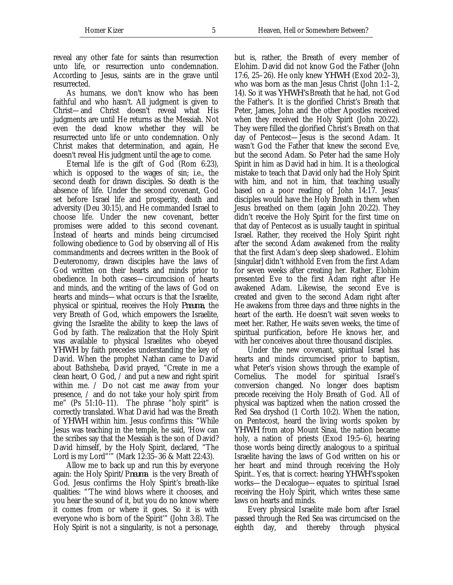reveal any other fate for saints than resurrection unto life, or resurrection unto condemnation. According to Jesus, saints are in the grave until resurrected.

As humans, we don't know who has been faithful and who hasn't. All judgment is given to Christ—and Christ doesn't reveal what His judgments are until He returns as the Messiah. Not even the dead know whether they will be resurrected unto life or unto condemnation. Only Christ makes that determination, and again, He doesn't reveal His judgment until the age to come.

Eternal life is the gift of God (Rom 6:23), which is opposed to the wages of sin; i.e., the second death for drawn disciples. So death is the absence of life. Under the second covenant, God set before Israel life and prosperity, death and adversity (Deu 30:15), and He commanded Israel to choose life. Under the new covenant, better promises were added to this second covenant. Instead of hearts and minds being circumcised following obedience to God by observing all of His commandments and decrees written in the Book of Deuteronomy, drawn disciples have the laws of God written on their hearts and minds prior to obedience. In both cases—circumcision of hearts and minds, and the writing of the laws of God on hearts and minds—what occurs is that the Israelite, physical or spiritual, receives the Holy *Pneuma*, the very Breath of God, which empowers the Israelite, giving the Israelite the ability to keep the laws of God by faith. The realization that the Holy Spirit was available to physical Israelites who obeyed *YHWH* by faith precedes understanding the key of David. When the prophet Nathan came to David about Bathsheba, David prayed, "Create in me a clean heart, O God, / and put a new and right spirit within me. / Do not cast me away from your presence, / and do not take your holy spirit from me" (Ps 51:10–11). The phrase "holy spirit" is correctly translated. What David had was the Breath of *YHWH* within him. Jesus confirms this: "While Jesus was teaching in the temple, he said, 'How can the scribes say that the Messiah is the son of David? David himself, by the Holy Spirit, declared, "The Lord is my Lord"'" (Mark 12:35–36 & Matt 22:43).

Allow me to back up and run this by everyone again: the Holy Spirit/P*neuma* is the very Breath of God. Jesus confirms the Holy Spirit's breath-like qualities: "'The wind blows where it chooses, and you hear the sound of it, but you do no know where it comes from or where it goes. So it is with everyone who is born of the Spirit'" (John 3:8). The Holy Spirit is not a singularity, is not a personage,

but is, rather, the Breath of every member of Elohim. David did not know God the Father (John 17:6, 25–26). He only knew *YHWH* (Exod 20:2–3), who was born as the man Jesus Christ (John 1:1–2, 14). So it was *YHWH's* Breath that he had, not God the Father's. It is the glorified Christ's Breath that Peter, James, John and the other Apostles received when they received the Holy Spirit (John 20:22). They were filled the glorified Christ's Breath on that day of Pentecost—Jesus is the second Adam. It wasn't God the Father that knew the second Eve, but the second Adam. So Peter had the same Holy Spirit in him as David had in him. It is a theological mistake to teach that David only had the Holy Spirit with him, and not in him, that teaching usually based on a poor reading of John 14:17. Jesus' disciples would have the Holy Breath in them when Jesus breathed on them (again John 20:22). They didn't receive the Holy Spirit for the first time on that day of Pentecost as is usually taught in spiritual Israel. Rather, they received the Holy Spirit right after the second Adam awakened from the reality that the first Adam's deep sleep shadowed.. Elohim [singular] didn't withhold Even from the first Adam for seven weeks after creating her. Rather, Elohim presented Eve to the first Adam right after He awakened Adam. Likewise, the second Eve is created and given to the second Adam right after He awakens from three days and three nights in the heart of the earth. He doesn't wait seven weeks to meet her. Rather, He waits seven weeks, the time of spiritual purification, before He knows her, and with her conceives about three thousand disciples.

Under the new covenant, spiritual Israel has hearts and minds circumcised prior to baptism, what Peter's vision shows through the example of Cornelius. The model for spiritual Israel's conversion changed. No longer does baptism precede receiving the Holy Breath of God. All of physical was baptized when the nation crossed the Red Sea dryshod (1 Corth 10:2). When the nation, on Pentecost, heard the living words spoken by *YHWH* from atop Mount Sinai, the nation became holy, a nation of priests (Exod 19:5–6), hearing those words being directly analogous to a spiritual Israelite having the laws of God written on his or her heart and mind through receiving the Holy Spirit.. Yes, that is correct: hearing *YHWH's* spoken works—the Decalogue—equates to spiritual Israel receiving the Holy Spirit, which writes these same laws on hearts and minds.

Every physical Israelite male born after Israel passed through the Red Sea was circumcised on the eighth day, and thereby through physical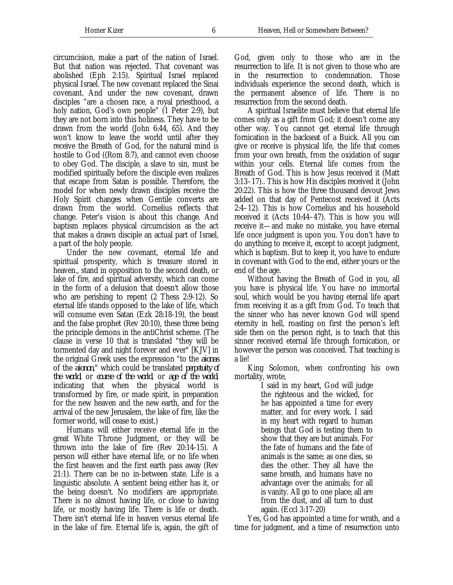circumcision, make a part of the nation of Israel. But that nation was rejected. That covenant was abolished (Eph 2:15). Spiritual Israel replaced physical Israel. The new covenant replaced the Sinai covenant. And under the new covenant, drawn disciples "are a chosen race, a royal priesthood, a holy nation, God's own people" (1 Peter 2:9), but they are not born into this holiness. They have to be drawn from the world (John 6:44, 65). And they won't know to leave the world until after they receive the Breath of God, for the natural mind is hostile to God ((Rom 8:7), and cannot even choose to obey God. The disciple, a slave to sin, must be modified spiritually before the disciple even realizes that escape from Satan is possible. Therefore, the model for when newly drawn disciples receive the Holy Spirit changes when Gentile converts are drawn from the world. Cornelius reflects that change. Peter's vision is about this change. And baptism replaces physical circumcision as the act that makes a drawn disciple an actual part of Israel, a part of the holy people.

Under the new covenant, eternal life and spiritual prosperity, which is treasure stored in heaven., stand in opposition to the second death, or lake of fire, and spiritual adversity, which can come in the form of a delusion that doesn't allow those who are perishing to repent (2 Thess 2:9-12). So eternal life stands opposed to the lake of life, which will consume even Satan (Ezk 28:18-19), the beast and the false prophet (Rev 20:10), these three being the principle demons in the antiChrist scheme. (The clause in verse 10 that is translated "they will be tormented day and night forever and ever" [KJV] in the original Greek uses the expression "to the *aionas* of the *aionon*," which could be translated *perpetuity of the world*, or *course of the world*, or *age of the world*, indicating that when the physical world is transformed by fire, or made spirit, in preparation for the new heaven and the new earth, and for the arrival of the new Jerusalem, the lake of fire, like the former world, will cease to exist.)

Humans will either receive eternal life in the great White Throne Judgment, or they will be thrown into the lake of fire (Rev 20:14-15). A person will either have eternal life, or no life when the first heaven and the first earth pass away (Rev 21:1). There can be no in-between state. Life is a linguistic absolute. A sentient being either has it, or the being doesn't. No modifiers are appropriate. There is no almost having life, or close to having life, or mostly having life. There is life or death. There isn't eternal life in heaven versus eternal life in the lake of fire. Eternal life is, again, the gift of God, given only to those who are in the resurrection to life. It is not given to those who are in the resurrection to condemnation. Those individuals experience the second death, which is the permanent absence of life. There is no resurrection from the second death.

A spiritual Israelite must believe that eternal life comes only as a gift from God; it doesn't come any other way. You cannot get eternal life through fornication in the backseat of a Buick. All you can give or receive is physical life, the life that comes from your own breath, from the oxidation of sugar within your cells. Eternal life comes from the Breath of God. This is how Jesus received it (Matt 3:13–17).. This is how His disciples received it (John 20:22). This is how the three thousand devout Jews added on that day of Pentecost received it (Acts 2:4–12). This is how Cornelius and his household received it (Acts 10:44–47). This is how you will receive it—and make no mistake, you have eternal life once judgment is upon you. You don't have to do anything to receive it, except to accept judgment, which is baptism. But to keep it, you have to endure in covenant with God to the end, either yours or the end of the age.

Without having the Breath of God in you, all you have is physical life. You have no immortal soul, which would be you having eternal life apart from receiving it as a gift from God. To teach that the sinner who has never known God will spend eternity in hell, roasting on first the person's left side then on the person right, is to teach that this sinner received eternal life through fornication, or however the person was conceived. That teaching is a lie!

King Solomon, when confronting his own mortality, wrote,

I said in my heart, God will judge the righteous and the wicked, for he has appointed a time for every matter, and for every work. I said in my heart with regard to human beings that God is testing them to show that they are but animals. For the fate of humans and the fate of animals is the same; as one dies, so dies the other. They all have the same breath, and humans have no advantage over the animals; for all is vanity. All go to one place; all are from the dust, and all turn to dust again. (Eccl 3:17-20)

Yes, God has appointed a time for wrath, and a time for judgment, and a time of resurrection unto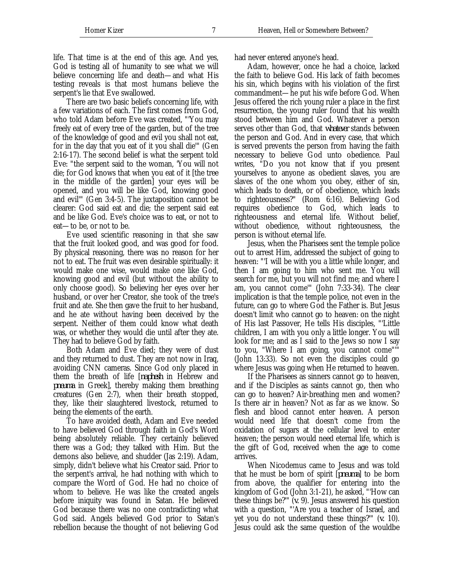life. That time is at the end of this age. And yes, God is testing all of humanity to see what we will believe concerning life and death—and what His testing reveals is that most humans believe the serpent's lie that Eve swallowed.

There are two basic beliefs concerning life, with a few variations of each. The first comes from God, who told Adam before Eve was created, "'You may freely eat of every tree of the garden, but of the tree of the knowledge of good and evil you shall not eat, for in the day that you eat of it you shall die'" (Gen 2:16-17). The second belief is what the serpent told Eve: "the serpent said to the woman, 'You will not die; for God knows that when you eat of it [the tree in the middle of the garden] your eyes will be opened, and you will be like God, knowing good and evil'" (Gen 3:4-5). The juxtaposition cannot be clearer: God said eat and die; the serpent said eat and be like God. Eve's choice was to eat, or not to eat—to be, or not to be.

Eve used scientific reasoning in that she saw that the fruit looked good, and was good for food. By physical reasoning, there was no reason for her not to eat. The fruit was even desirable spiritually: it would make one wise, would make one like God, knowing good and evil (but without the ability to only choose good). So believing her eyes over her husband, or over her Creator, she took of the tree's fruit and ate. She then gave the fruit to her husband, and he ate without having been deceived by the serpent. Neither of them could know what death was, or whether they would die until after they ate. They had to believe God by faith.

Both Adam and Eve died; they were of dust and they returned to dust. They are not now in Iraq, avoiding CNN cameras. Since God only placed in them the breath of life [*naphesh* in Hebrew and *pneuma* in Greek], thereby making them breathing creatures (Gen 2:7), when their breath stopped, they, like their slaughtered livestock, returned to being the elements of the earth.

To have avoided death, Adam and Eve needed to have believed God through faith in God's Word being absolutely reliable. They certainly believed there was a God; they talked with Him. But the demons also believe, and shudder (Jas 2:19). Adam, simply, didn't believe what his Creator said. Prior to the serpent's arrival, he had nothing with which to compare the Word of God. He had no choice of whom to believe. He was like the created angels before iniquity was found in Satan. He believed God because there was no one contradicting what God said. Angels believed God prior to Satan's rebellion because the thought of not believing God had never entered anyone's head.

Adam, however, once he had a choice, lacked the faith to believe God. His lack of faith becomes his sin, which begins with his violation of the first commandment—he put his wife before God. When Jesus offered the rich young ruler a place in the first resurrection, the young ruler found that his wealth stood between him and God. Whatever a person serves other than God, that *whatever* stands between the person and God. And in every case, that which is served prevents the person from having the faith necessary to believe God unto obedience. Paul writes, "Do you not know that if you present yourselves to anyone as obedient slaves, you are slaves of the one whom you obey, either of sin, which leads to death, or of obedience, which leads to righteousness?" (Rom 6:16). Believing God requires obedience to God, which leads to righteousness and eternal life. Without belief, without obedience, without righteousness, the person is without eternal life.

Jesus, when the Pharisees sent the temple police out to arrest Him, addressed the subject of going to heaven: "'I will be with you a little while longer, and then I am going to him who sent me. You will search for me, but you will not find me; and where I am, you cannot come'" (John 7:33-34). The clear implication is that the temple police, not even in the future, can go to where God the Father is. But Jesus doesn't limit who cannot go to heaven: on the night of His last Passover, He tells His disciples, "'Little children, I am with you only a little longer. You will look for me; and as I said to the Jews so now I say to you, "Where I am going, you cannot come"'" (John 13:33). So not even the disciples could go where Jesus was going when He returned to heaven.

If the Pharisees as sinners cannot go to heaven, and if the Disciples as saints cannot go, then who can go to heaven? Air-breathing men and women? Is there air in heaven? Not as far as we know. So flesh and blood cannot enter heaven. A person would need life that doesn't come from the oxidation of sugars at the cellular level to enter heaven; the person would need eternal life, which is the gift of God, received when the age to come arrives.

When Nicodemus came to Jesus and was told that he must be born of spirit [*pneuma*] to be born from above, the qualifier for entering into the kingdom of God (John 3:1-21), he asked, "'How can these things be?'" (*v.* 9). Jesus answered his question with a question, "'Are you a teacher of Israel, and yet you do not understand these things?'" (*v.* 10). Jesus could ask the same question of the wouldbe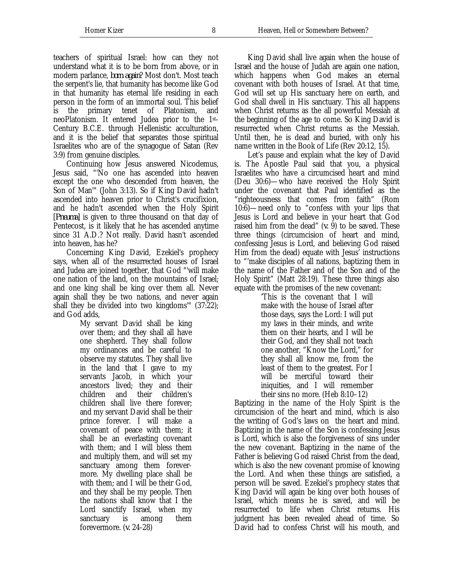teachers of spiritual Israel: how can they not understand what it is to be born from above, or in modern parlance, *born again*? Most don't. Most teach the serpent's lie, that humanity has become like God in that humanity has eternal life residing in each person in the form of an immortal soul. This belief is the primary tenet of Platonism, and neoPlatonism. It entered Judea prior to the 1st-Century B.C.E. through Hellenistic acculturation, and it is the belief that separates those spiritual Israelites who are of the synagogue of Satan (Rev 3:9) from genuine disciples.

Continuing how Jesus answered Nicodemus, Jesus said, "'No one has ascended into heaven except the one who descended from heaven, the Son of Man'" (John 3:13). So if King David hadn't ascended into heaven prior to Christ's crucifixion, and he hadn't ascended when the Holy Spirit [*Pneuma*] is given to three thousand on that day of Pentecost, is it likely that he has ascended anytime since 31 A.D.? Not really. David hasn't ascended into heaven, has he?

Concerning King David, Ezekiel's prophecy says, when all of the resurrected houses of Israel and Judea are joined together, that God "'will make one nation of the land, on the mountains of Israel; and one king shall be king over them all. Never again shall they be two nations, and never again shall they be divided into two kingdoms'" (37:22); and God adds,

My servant David shall be king over them; and they shall all have one shepherd. They shall follow my ordinances and be careful to observe my statutes. They shall live in the land that I gave to my servants Jacob, in which your ancestors lived; they and their children and their children's children shall live there forever; and my servant David shall be their prince forever. I will make a covenant of peace with them; it shall be an everlasting covenant with them; and I will bless them and multiply them, and will set my sanctuary among them forevermore. My dwelling place shall be with them; and I will be their God, and they shall be my people. Then the nations shall know that I the Lord sanctify Israel, when my sanctuary is among them forevermore. (*v.* 24-28)

King David shall live again when the house of Israel and the house of Judah are again one nation, which happens when God makes an eternal covenant with both houses of Israel. At that time, God will set up His sanctuary here on earth, and God shall dwell in His sanctuary. This all happens when Christ returns as the all powerful Messiah at the beginning of the age to come. So King David is resurrected when Christ returns as the Messiah. Until then, he is dead and buried, with only his name written in the Book of Life (Rev 20:12, 15).

Let's pause and explain what the key of David is. The Apostle Paul said that you, a physical Israelites who have a circumcised heart and mind (Deu 30:6)—who have received the Holy Spirit under the covenant that Paul identified as the "righteousness that comes from faith" (Rom 10:6)—need only to "confess with your lips that Jesus is Lord and believe in your heart that God raised him from the dead"  $(v, 9)$  to be saved. These three things (circumcision of heart and mind, confessing Jesus is Lord, and believing God raised Him from the dead) equate with Jesus' instructions to "'make disciples of all nations, baptizing them in the name of the Father and of the Son and of the Holy Spirit" (Matt 28:19). These three things also equate with the promises of the new covenant:

> 'This is the covenant that I will make with the house of Israel after those days, says the Lord: I will put my laws in their minds, and write them on their hearts, and I will be their God, and they shall not teach one another, "Know the Lord," for they shall all know me, from the least of them to the greatest. For I will be merciful toward their iniquities, and I will remember their sins no more. (Heb 8:10–12)

Baptizing in the name of the Holy Spirit is the circumcision of the heart and mind, which is also the writing of God's laws on the heart and mind. Baptizing in the name of the Son is confessing Jesus is Lord, which is also the forgiveness of sins under the new covenant. Baptizing in the name of the Father is believing God raised Christ from the dead, which is also the new covenant promise of knowing the Lord. And when these things are satisfied, a person will be saved. Ezekiel's prophecy states that King David will again be king over both houses of Israel, which means he is saved, and will be resurrected to life when Christ returns. His judgment has been revealed ahead of time. So David had to confess Christ will his mouth, and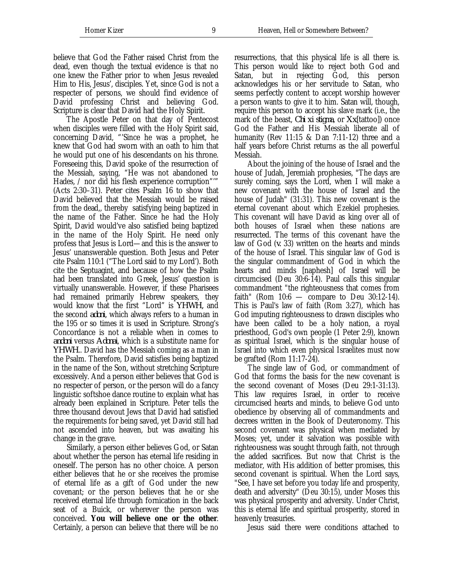believe that God the Father raised Christ from the dead, even though the textual evidence is that no one knew the Father prior to when Jesus revealed Him to His, Jesus', disciples. Yet, since God is not a respecter of persons, we should find evidence of David professing Christ and believing God. Scripture is clear that David had the Holy Spirit.

The Apostle Peter on that day of Pentecost when disciples were filled with the Holy Spirit said, concerning David, "'Since he was a prophet, he knew that God had sworn with an oath to him that he would put one of his descendants on his throne. Foreseeing this, David spoke of the resurrection of the Messiah, saying, "He was not abandoned to Hades, / nor did his flesh experience corruption"" (Acts 2:30–31). Peter cites Psalm 16 to show that David believed that the Messiah would be raised from the dead,, thereby satisfying being baptized in the name of the Father. Since he had the Holy Spirit, David would've also satisfied being baptized in the name of the Holy Spirit. He need only profess that Jesus is Lord—and this is the answer to Jesus' unanswerable question. Both Jesus and Peter cite Psalm 110:1 ("The Lord said to my Lord'). Both cite the Septuagint, and because of how the Psalm had been translated into Greek, Jesus' question is virtually unanswerable. However, if these Pharisees had remained primarily Hebrew speakers, they would know that the first "Lord" is *YHWH,* and the second *adoni*, which always refers to a human in the 195 or so times it is used in Scripture. Strong's Concordance is not a reliable when in comes to *andoni* versus *Adonai*, which is a substitute name for *YHWH*.. David has the Messiah coming as a man in the Psalm. Therefore, David satisfies being baptized in the name of the Son, without stretching Scripture excessively. And a person either believes that God is no respecter of person, or the person will do a fancy linguistic softshoe dance routine to explain what has already been explained in Scripture. Peter tells the three thousand devout Jews that David had satisfied the requirements for being saved, yet David still had not ascended into heaven, but was awaiting his change in the grave.

Similarly, a person either believes God, or Satan about whether the person has eternal life residing in oneself. The person has no other choice. A person either believes that he or she receives the promise of eternal life as a gift of God under the new covenant; or the person believes that he or she received eternal life through fornication in the back seat of a Buick, or wherever the person was conceived. **You will believe one or the other**. Certainly, a person can believe that there will be no

resurrections, that this physical life is all there is. This person would like to reject both God and Satan, but in rejecting God, this person acknowledges his or her servitude to Satan, who seems perfectly content to accept worship however a person wants to give it to him. Satan will, though, require this person to accept his slave mark (i.e., the mark of the beast, *Chi xi stigma*, or *Xx*[tattoo]) once God the Father and His Messiah liberate all of humanity (Rev 11:15 & Dan 7:11-12) three and a half years before Christ returns as the all powerful Messiah.

About the joining of the house of Israel and the house of Judah, Jeremiah prophesies, "The days are surely coming, says the Lord, when I will make a new covenant with the house of Israel and the house of Judah" (31:31). This new covenant is the eternal covenant about which Ezekiel prophesies. This covenant will have David as king over all of both houses of Israel when these nations are resurrected. The terms of this covenant have the law of God (*v.* 33) written on the hearts and minds of the house of Israel. This singular law of God is the singular commandment of God in which the hearts and minds [naphesh] of Israel will be circumcised (Deu 30:6-14). Paul calls this singular commandment "the righteousness that comes from faith" (Rom 10:6 — compare to Deu 30:12-14). This is Paul's law of faith (Rom 3:27), which has God imputing righteousness to drawn disciples who have been called to be a holy nation, a royal priesthood, God's own people (1 Peter 2:9), known as spiritual Israel, which is the singular house of Israel into which even physical Israelites must now be grafted (Rom 11:17-24).

The single law of God, or commandment of God that forms the basis for the new covenant is the second covenant of Moses (Deu 29:1-31:13). This law requires Israel, in order to receive circumcised hearts and minds, to believe God unto obedience by observing all of commandments and decrees written in the Book of Deuteronomy. This second covenant was physical when mediated by Moses; yet, under it salvation was possible with righteousness was sought through faith, not through the added sacrifices. But now that Christ is the mediator, with His addition of better promises, this second covenant is spiritual. When the Lord says, "See, I have set before you today life and prosperity, death and adversity" (Deu 30:15), under Moses this was physical prosperity and adversity. Under Christ, this is eternal life and spiritual prosperity, stored in heavenly treasuries.

Jesus said there were conditions attached to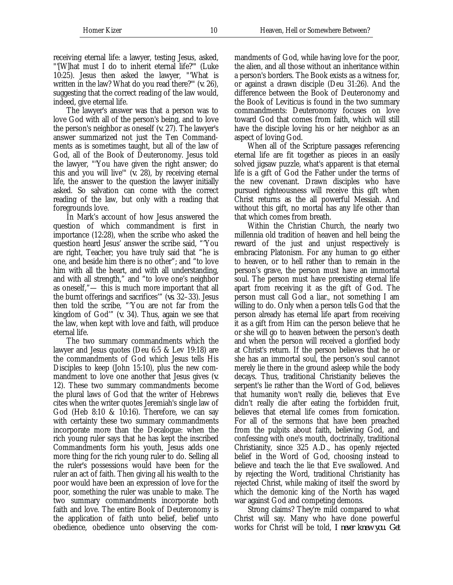receiving eternal life: a lawyer, testing Jesus, asked, "'[W]hat must I do to inherit eternal life?'" (Luke 10:25). Jesus then asked the lawyer, "'What is written in the law? What do you read there?'" (*v.* 26), suggesting that the correct reading of the law would, indeed, give eternal life.

The lawyer's answer was that a person was to love God with all of the person's being, and to love the person's neighbor as oneself (*v.* 27). The lawyer's answer summarized not just the Ten Commandments as is sometimes taught, but all of the law of God, all of the Book of Deuteronomy. Jesus told the lawyer, "'You have given the right answer; do this and you will live'" (*v.* 28), by receiving eternal life, the answer to the question the lawyer initially asked. So salvation can come with the correct reading of the law, but only with a reading that foregrounds love.

In Mark's account of how Jesus answered the question of which commandment is first in importance (12:28), when the scribe who asked the question heard Jesus' answer the scribe said, "'You are right, Teacher; you have truly said that "he is one, and beside him there is no other"; and "to love him with all the heart, and with all understanding, and with all strength," and "to love one's neighbor as oneself,"— this is much more important that all the burnt offerings and sacrifices'" (*vs.* 32–33). Jesus then told the scribe, "'You are not far from the kingdom of God'" (*v.* 34). Thus, again we see that the law, when kept with love and faith, will produce eternal life.

The two summary commandments which the lawyer and Jesus quotes (Deu 6:5 & Lev 19:18) are the commandments of God which Jesus tells His Disciples to keep (John 15:10), plus the new commandment to love one another that Jesus gives (*v.* 12). These two summary commandments become the plural laws of God that the writer of Hebrews cites when the writer quotes Jeremiah's single law of God (Heb 8:10 & 10:16). Therefore, we can say with certainty these two summary commandments incorporate more than the Decalogue: when the rich young ruler says that he has kept the inscribed Commandments form his youth, Jesus adds one more thing for the rich young ruler to do. Selling all the ruler's possessions would have been for the ruler an act of faith. Then giving all his wealth to the poor would have been an expression of love for the poor, something the ruler was unable to make. The two summary commandments incorporate both faith and love. The entire Book of Deuteronomy is the application of faith unto belief, belief unto obedience, obedience unto observing the commandments of God, while having love for the poor, the alien, and all those without an inheritance within a person's borders. The Book exists as a witness for, or against a drawn disciple (Deu 31:26). And the difference between the Book of Deuteronomy and the Book of Leviticus is found in the two summary commandments: Deuteronomy focuses on love toward God that comes from faith, which will still have the disciple loving his or her neighbor as an aspect of loving God.

When all of the Scripture passages referencing eternal life are fit together as pieces in an easily solved jigsaw puzzle, what's apparent is that eternal life is a gift of God the Father under the terms of the new covenant. Drawn disciples who have pursued righteousness will receive this gift when Christ returns as the all powerful Messiah. And without this gift, no mortal has any life other than that which comes from breath.

Within the Christian Church, the nearly two millennia old tradition of heaven and hell being the reward of the just and unjust respectively is embracing Platonism. For any human to go either to heaven, or to hell rather than to remain in the person's grave, the person must have an immortal soul. The person must have preexisting eternal life apart from receiving it as the gift of God. The person must call God a liar., not something I am willing to do. Only when a person tells God that the person already has eternal life apart from receiving it as a gift from Him can the person believe that he or she will go to heaven between the person's death and when the person will received a glorified body at Christ's return. If the person believes that he or she has an immortal soul, the person's soul cannot merely lie there in the ground asleep while the body decays. Thus, traditional Christianity believes the serpent's lie rather than the Word of God, believes that humanity won't really die, believes that Eve didn't really die after eating the forbidden fruit, believes that eternal life comes from fornication. For all of the sermons that have been preached from the pulpits about faith, believing God, and confessing with one's mouth, doctrinally, traditional Christianity, since 325 A.D., has openly rejected belief in the Word of God, choosing instead to believe and teach the lie that Eve swallowed. And by rejecting the Word, traditional Christianity has rejected Christ, while making of itself the sword by which the demonic king of the North has waged war against God and competing demons.

Strong claims? They're mild compared to what Christ will say. Many who have done powerful works for Christ will be told, *I never knew you. Get*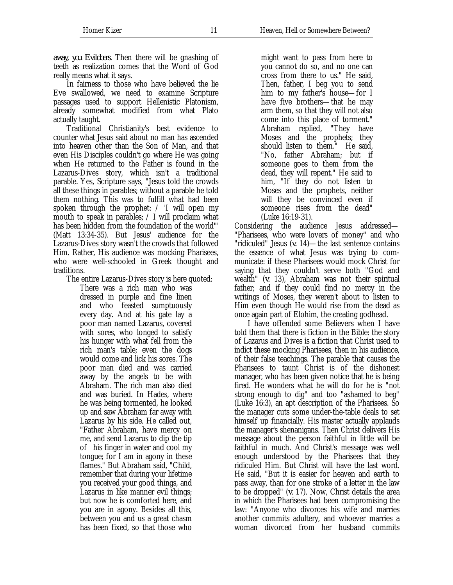*away, you Evildoers.* Then there will be gnashing of teeth as realization comes that the Word of God really means what it says.

In fairness to those who have believed the lie Eve swallowed, we need to examine Scripture passages used to support Hellenistic Platonism, already somewhat modified from what Plato actually taught.

Traditional Christianity's best evidence to counter what Jesus said about no man has ascended into heaven other than the Son of Man, and that even His Disciples couldn't go where He was going when He returned to the Father is found in the Lazarus-Dives story, which isn't a traditional parable. Yes, Scripture says, "Jesus told the crowds all these things in parables; without a parable he told them nothing. This was to fulfill what had been spoken through the prophet: / 'I will open my mouth to speak in parables;  $\angle$  I will proclaim what has been hidden from the foundation of the world'" (Matt 13:34-35). But Jesus' audience for the Lazarus-Dives story wasn't the crowds that followed Him. Rather, His audience was mocking Pharisees, who were well-schooled in Greek thought and traditions.

The entire Lazarus-Dives story is here quoted:

There was a rich man who was dressed in purple and fine linen and who feasted sumptuously every day. And at his gate lay a poor man named Lazarus, covered with sores, who longed to satisfy his hunger with what fell from the rich man's table; even the dogs would come and lick his sores. The poor man died and was carried away by the angels to be with Abraham. The rich man also died and was buried. In Hades, where he was being tormented, he looked up and saw Abraham far away with Lazarus by his side. He called out, "Father Abraham, have mercy on me, and send Lazarus to dip the tip of his finger in water and cool my tongue; for I am in agony in these flames." But Abraham said, "Child, remember that during your lifetime you received your good things, and Lazarus in like manner evil things; but now he is comforted here, and you are in agony. Besides all this, between you and us a great chasm has been fixed, so that those who

might want to pass from here to you cannot do so, and no one can cross from there to us." He said, Then, father, I beg you to send him to my father's house—for I have five brothers—that he may arm them, so that they will not also come into this place of torment." Abraham replied, "They have Moses and the prophets; they should listen to them." He said, "No, father Abraham; but if someone goes to them from the dead, they will repent." He said to him, "If they do not listen to Moses and the prophets, neither will they be convinced even if someone rises from the dead" (Luke 16:19-31).

Considering the audience Jesus addressed— "Pharisees, who were lovers of money" and who "ridiculed" Jesus (*v.* 14)—the last sentence contains the essence of what Jesus was trying to communicate: if these Pharisees would mock Christ for saying that they couldn't serve both "God and wealth" (*v.* 13), Abraham was not their spiritual father; and if they could find no mercy in the writings of Moses, they weren't about to listen to Him even though He would rise from the dead as once again part of Elohim, the creating godhead.

I have offended some Believers when I have told them that there is fiction in the Bible: the story of Lazarus and Dives is a fiction that Christ used to indict these mocking Pharisees, then in his audience, of their false teachings. The parable that causes the Pharisees to taunt Christ is of the dishonest manager, who has been given notice that he is being fired. He wonders what he will do for he is "not strong enough to dig" and too "ashamed to beg" (Luke 16:3), an apt description of the Pharisees. So the manager cuts some under-the-table deals to set himself up financially. His master actually applauds the manager's shenanigans. Then Christ delivers His message about the person faithful in little will be faithful in much. And Christ's message was well enough understood by the Pharisees that they ridiculed Him. But Christ will have the last word. He said, "But it is easier for heaven and earth to pass away, than for one stroke of a letter in the law to be dropped" (*v.* 17). Now, Christ details the area in which the Pharisees had been compromising the law: "Anyone who divorces his wife and marries another commits adultery, and whoever marries a woman divorced from her husband commits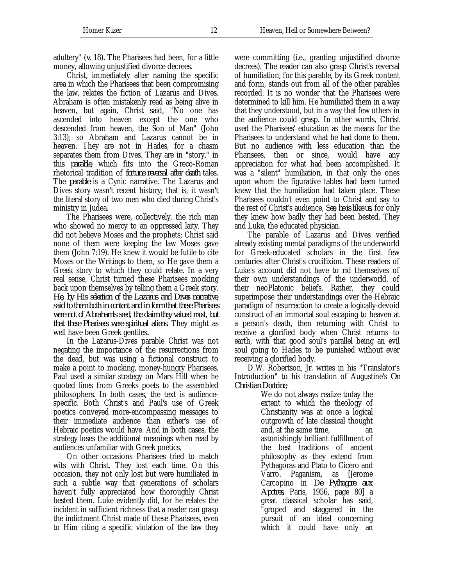Christ, immediately after naming the specific area in which the Pharisees that been compromising the law, relates the fiction of Lazarus and Dives. Abraham is often mistakenly read as being alive in heaven, but again, Christ said, "No one has ascended into heaven except the one who descended from heaven, the Son of Man" (John 3:13); so Abraham and Lazarus cannot be in heaven. They are not in Hades, for a chasm separates them from Dives. They are in "story," in this *parable*, which fits into the Greco-Roman rhetorical tradition of *fortune reversal after death* tales. The *parable* is a Cynic narrative. The Lazarus and Dives story wasn't recent history; that is, it wasn't the literal story of two men who died during Christ's ministry in Judea.

The Pharisees were, collectively, the rich man who showed no mercy to an oppressed laity. They did not believe Moses and the prophets; Christ said none of them were keeping the law Moses gave them (John 7:19). He knew it would be futile to cite Moses or the Writings to them, so He gave them a Greek story to which they could relate. In a very real sense, Christ turned these Pharisees mocking back upon themselves by telling them a Greek story. *He, by His selection of the Lazarus and Dives narrative, said to them both in content and in form that these Pharisees were not of Abraham's seed, the claim they valued most, but that these Pharisees were spiritual aliens.* They might as well have been Greek gentiles**.**

In the Lazarus-Dives parable Christ was not negating the importance of the resurrections from the dead, but was using a fictional construct to make a point to mocking, money-hungry Pharisees. Paul used a similar strategy on Mars Hill when he quoted lines from Greeks poets to the assembled philosophers. In both cases, the text is audiencespecific. Both Christ's and Paul's use of Greek poetics conveyed more-encompassing messages to their immediate audience than either's use of Hebraic poetics would have. And in both cases, the strategy loses the additional meanings when read by audiences unfamiliar with Greek poetics.

On other occasions Pharisees tried to match wits with Christ. They lost each time. On this occasion, they not only lost but were humiliated in such a subtle way that generations of scholars haven't fully appreciated how thoroughly Christ bested them. Luke evidently did, for he relates the incident in sufficient richness that a reader can grasp the indictment Christ made of these Pharisees, even to Him citing a specific violation of the law they

were committing (i.e., granting unjustified divorce decrees). The reader can also grasp Christ's reversal of humiliation; for this parable, by its Greek content and form, stands out from all of the other parables recorded. It is no wonder that the Pharisees were determined to kill him. He humiliated them in a way that they understood, but in a way that few others in the audience could grasp. In other words, Christ used the Pharisees' education as the means for the Pharisees to understand what he had done to them. But no audience with less education than the Pharisees, then or since, would have any appreciation for what had been accomplished. It was a "silent" humiliation, in that only the ones upon whom the figurative tables had been turned knew that the humiliation had taken place. These Pharisees couldn't even point to Christ and say to the rest of Christ's audience, *See, he is like us*, for only they knew how badly they had been bested. They and Luke, the educated physician.

The parable of Lazarus and Dives verified already existing mental paradigms of the underworld for Greek-educated scholars in the first few centuries after Christ's crucifixion. These readers of Luke's account did not have to rid themselves of their own understandings of the underworld, of their neoPlatonic beliefs. Rather, they could superimpose their understandings over the Hebraic paradigm of resurrection to create a logically-devoid construct of an immortal soul escaping to heaven at a person's death, then returning with Christ to receive a glorified body when Christ returns to earth, with that good soul's parallel being an evil soul going to Hades to be punished without ever receiving a glorified body.

D.W. Robertson, Jr. writes in his "Translator's Introduction" to his translation of Augustine's *On Christian Doctrine*,

> We do not always realize today the extent to which the theology of Christianity was at once a logical outgrowth of late classical thought and, at the same time, an astonishingly brilliant fulfillment of the best traditions of ancient philosophy as they extend from Pythagoras and Plato to Cicero and Varro. Paganism, as [Jerome Carcopino in *De Pythagore aux Apotres*, Paris, 1956, page 80] a great classical scholar has said, "groped and staggered in the pursuit of an ideal concerning which it could have only an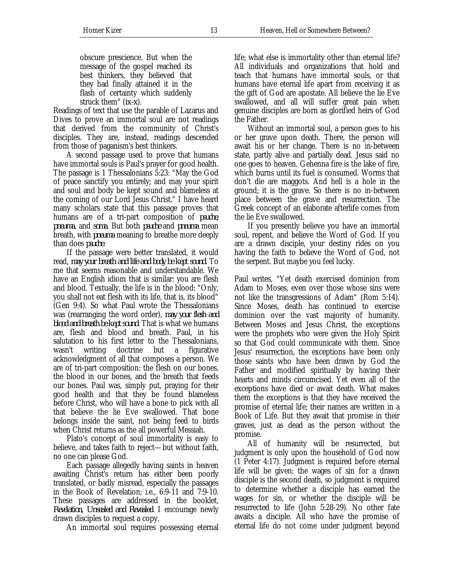life; what else is immortality other than eternal life? All individuals and organizations that hold and teach that humans have immortal souls, or that humans have eternal life apart from receiving it as the gift of God are apostate. All believe the lie Eve swallowed, and all will suffer great pain when genuine disciples are born as glorified heirs of God the Father.

Without an immortal soul, a person goes to his or her grave upon death. There, the person will await his or her change. There is no in-between state, partly alive and partially dead. Jesus said no one goes to heaven. Gehenna fire is the lake of fire, which burns until its fuel is consumed. Worms that don't die are maggots. And hell is a hole in the ground; it is the grave. So there is no in-between place between the grave and resurrection. The Greek concept of an elaborate afterlife comes from the lie Eve swallowed.

If you presently believe you have an immortal soul, repent, and believe the Word of God. If you are a drawn disciple, your destiny rides on you having the faith to believe the Word of God, not the serpent. But maybe you feel lucky.

Paul writes, "Yet death exercised dominion from Adam to Moses, even over those whose sins were not like the transgressions of Adam" (Rom 5:14). Since Moses, death has continued to exercise dominion over the vast majority of humanity. Between Moses and Jesus Christ, the exceptions were the prophets who were given the Holy Spirit so that God could communicate with them. Since Jesus' resurrection, the exceptions have been only those saints who have been drawn by God the Father and modified spiritually by having their hearts and minds circumcised. Yet even all of the exceptions have died or await death. What makes them the exceptions is that they have received the promise of eternal life; their names are written in a Book of Life. But they await that promise in their graves, just as dead as the person without the promise.

All of humanity will be resurrected, but judgment is only upon the household of God now (1 Peter 4:17). Judgment is required before eternal life will be given: the wages of sin for a drawn disciple is the second death, so judgment is required to determine whether a disciple has earned the wages for sin, or whether the disciple will be resurrected to life (John 5:28-29). No other fate awaits a disciple. All who have the promise of eternal life do not come under judgment beyond

obscure prescience. But when the message of the gospel reached its best thinkers, they believed that they had finally attained it in the flash of certainty which suddenly struck them" (*ix-x*).

Readings of text that use the parable of Lazarus and Dives to prove an immortal soul are not readings that derived from the community of Christ's disciples. They are, instead, readings descended from those of paganism's best thinkers.

A second passage used to prove that humans have immortal souls is Paul's prayer for good health. The passage is 1 Thessalonians 5:23: "May the God of peace sanctify you entirely; and may your spirit and soul and body be kept sound and blameless at the coming of our Lord Jesus Christ." I have heard many scholars state that this passage proves that humans are of a tri-part composition of *psuche*, *pneuma*, and *soma*. But both *psuche* and *pneuma* mean breath, with *pneuma* meaning to breathe more deeply than does *psuche.*

If the passage were better translated, it would read, *may your breath and life and body be kept sound.* To me that seems reasonable and understandable. We have an English idiom that is similar: you are flesh and blood. Textually, the life is in the blood: "Only, you shall not eat flesh with its life, that is, its blood" (Gen 9:4). So what Paul wrote the Thessalonians was (rearranging the word order), *may your flesh and blood and breath be kept sound*. That is what we humans are, flesh and blood and breath. Paul, in his salutation to his first letter to the Thessalonians, wasn't writing doctrine but a figurative acknowledgment of all that composes a person. We are of tri-part composition: the flesh on our bones, the blood in our bones, and the breath that feeds our bones. Paul was, simply put, praying for their good health and that they be found blameless before Christ, who will have a bone to pick with all that believe the lie Eve swallowed. That bone belongs inside the saint, not being feed to birds when Christ returns as the all powerful Messiah.

Plato's concept of soul immortality is easy to believe, and takes faith to reject—but without faith, no one can please God.

Each passage allegedly having saints in heaven awaiting Christ's return has either been poorly translated, or badly misread, especially the passages in the Book of Revelation; i.e., 6:9-11 and 7:9-10. These passages are addressed in the booklet, *Revelation, Unsealed and Revealed*. I encourage newly drawn disciples to request a copy.

An immortal soul requires possessing eternal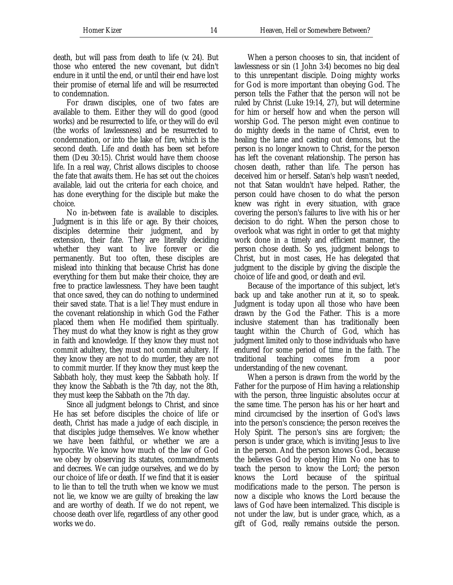For drawn disciples, one of two fates are available to them. Either they will do good (good works) and be resurrected to life, or they will do evil (the works of lawlessness) and be resurrected to condemnation, or into the lake of fire, which is the second death. Life and death has been set before them (Deu 30:15). Christ would have them choose life. In a real way, Christ allows disciples to choose the fate that awaits them. He has set out the choices available, laid out the criteria for each choice, and has done everything for the disciple but make the choice.

No in-between fate is available to disciples. Judgment is in this life or age. By their choices, disciples determine their judgment, and by extension, their fate. They are literally deciding whether they want to live forever or die permanently. But too often, these disciples are mislead into thinking that because Christ has done everything for them but make their choice, they are free to practice lawlessness. They have been taught that once saved, they can do nothing to undermined their saved state. That is a lie! They must endure in the covenant relationship in which God the Father placed them when He modified them spiritually. They must do what they know is right as they grow in faith and knowledge. If they know they must not commit adultery, they must not commit adultery. If they know they are not to do murder, they are not to commit murder. If they know they must keep the Sabbath holy, they must keep the Sabbath holy. If they know the Sabbath is the 7th day, not the 8th, they must keep the Sabbath on the 7th day.

Since all judgment belongs to Christ, and since He has set before disciples the choice of life or death, Christ has made a judge of each disciple, in that disciples judge themselves. We know whether we have been faithful, or whether we are a hypocrite. We know how much of the law of God we obey by observing its statutes, commandments and decrees. We can judge ourselves, and we do by our choice of life or death. If we find that it is easier to lie than to tell the truth when we know we must not lie, we know we are guilty of breaking the law and are worthy of death. If we do not repent, we choose death over life, regardless of any other good works we do.

Homer Kizer 14 Heaven, Hell or Somewhere Between?

When a person chooses to sin, that incident of lawlessness or sin (1 John 3:4) becomes no big deal to this unrepentant disciple. Doing mighty works for God is more important than obeying God. The person tells the Father that the person will not be ruled by Christ (Luke 19:14, 27), but will determine for him or herself how and when the person will worship God. The person might even continue to do mighty deeds in the name of Christ, even to healing the lame and casting out demons, but the person is no longer known to Christ, for the person has left the covenant relationship. The person has chosen death, rather than life. The person has deceived him or herself. Satan's help wasn't needed, not that Satan wouldn't have helped. Rather, the person could have chosen to do what the person knew was right in every situation, with grace covering the person's failures to live with his or her decision to do right. When the person chose to overlook what was right in order to get that mighty work done in a timely and efficient manner, the person chose death. So yes, judgment belongs to Christ, but in most cases, He has delegated that judgment to the disciple by giving the disciple the choice of life and good, or death and evil.

Because of the importance of this subject, let's back up and take another run at it, so to speak. Judgment is today upon all those who have been drawn by the God the Father. This is a more inclusive statement than has traditionally been taught within the Church of God, which has judgment limited only to those individuals who have endured for some period of time in the faith. The traditional teaching comes from a poor understanding of the new covenant.

When a person is drawn from the world by the Father for the purpose of Him having a relationship with the person, three linguistic absolutes occur at the same time. The person has his or her heart and mind circumcised by the insertion of God's laws into the person's conscience; the person receives the Holy Spirit. The person's sins are forgiven; the person is under grace, which is inviting Jesus to live in the person. And the person knows God., because the believes God by obeying Him No one has to teach the person to know the Lord; the person knows the Lord because of the spiritual modifications made to the person. The person is now a disciple who knows the Lord because the laws of God have been internalized. This disciple is not under the law, but is under grace, which, as a gift of God, really remains outside the person.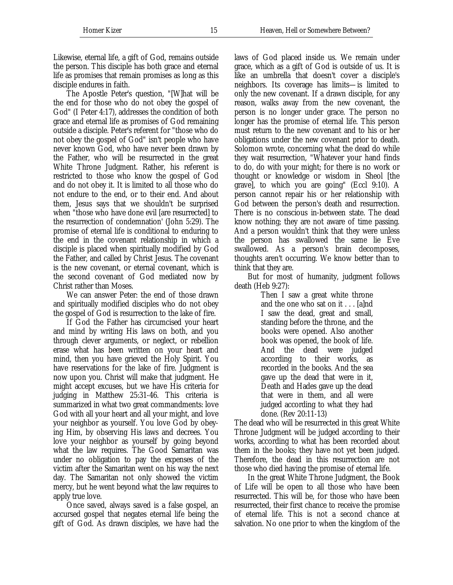Likewise, eternal life, a gift of God, remains outside the person. This disciple has both grace and eternal life as promises that remain promises as long as this disciple endures in faith.

The Apostle Peter's question, "[W]hat will be the end for those who do not obey the gospel of God" (I Peter 4:17), addresses the condition of both grace and eternal life as promises of God remaining outside a disciple. Peter's referent for "those who do not obey the gospel of God" isn't people who have never known God, who have never been drawn by the Father, who will be resurrected in the great White Throne Judgment. Rather, his referent is restricted to those who know the gospel of God and do not obey it. It is limited to all those who do not endure to the end, or to their end. And about them, Jesus says that we shouldn't be surprised when "those who have done evil [are resurrected] to the resurrection of condemnation' (John 5:29). The promise of eternal life is conditional to enduring to the end in the covenant relationship in which a disciple is placed when spiritually modified by God the Father, and called by Christ Jesus. The covenant is the new covenant, or eternal covenant, which is the second covenant of God mediated now by Christ rather than Moses.

We can answer Peter: the end of those drawn and spiritually modified disciples who do not obey the gospel of God is resurrection to the lake of fire.

If God the Father has circumcised your heart and mind by writing His laws on both, and you through clever arguments, or neglect, or rebellion erase what has been written on your heart and mind, then you have grieved the Holy Spirit. You have reservations for the lake of fire. Judgment is now upon you. Christ will make that judgment. He might accept excuses, but we have His criteria for judging in Matthew 25:31-46. This criteria is summarized in what two great commandments: love God with all your heart and all your might, and love your neighbor as yourself. You love God by obeying Him, by observing His laws and decrees. You love your neighbor as yourself by going beyond what the law requires. The Good Samaritan was under no obligation to pay the expenses of the victim after the Samaritan went on his way the next day. The Samaritan not only showed the victim mercy, but he went beyond what the law requires to apply true love.

Once saved, always saved is a false gospel, an accursed gospel that negates eternal life being the gift of God. As drawn disciples, we have had the

laws of God placed inside us. We remain under grace, which as a gift of God is outside of us. It is like an umbrella that doesn't cover a disciple's neighbors. Its coverage has limits—is limited to only the new covenant. If a drawn disciple, for any reason, walks away from the new covenant, the person is no longer under grace. The person no longer has the promise of eternal life. This person must return to the new covenant and to his or her obligations under the new covenant prior to death. Solomon wrote, concerning what the dead do while they wait resurrection, "Whatever your hand finds to do, do with your might; for there is no work or thought or knowledge or wisdom in Sheol [the grave], to which you are going" (Eccl 9:10). A person cannot repair his or her relationship with God between the person's death and resurrection. There is no conscious in-between state. The dead know nothing; they are not aware of time passing. And a person wouldn't think that they were unless the person has swallowed the same lie Eve swallowed. As a person's brain decomposes, thoughts aren't occurring. We know better than to think that they are.

But for most of humanity, judgment follows death (Heb 9:27):

> Then I saw a great white throne and the one who sat on it . . . [a]nd I saw the dead, great and small, standing before the throne, and the books were opened. Also another book was opened, the book of life. And the dead were judged according to their works, as recorded in the books. And the sea gave up the dead that were in it, Death and Hades gave up the dead that were in them, and all were judged according to what they had done. (Rev 20:11-13)

The dead who will be resurrected in this great White Throne Judgment will be judged according to their works, according to what has been recorded about them in the books; they have not yet been judged. Therefore, the dead in this resurrection are not those who died having the promise of eternal life.

In the great White Throne Judgment, the Book of Life will be open to all those who have been resurrected. This will be, for those who have been resurrected, their first chance to receive the promise of eternal life. This is not a second chance at salvation. No one prior to when the kingdom of the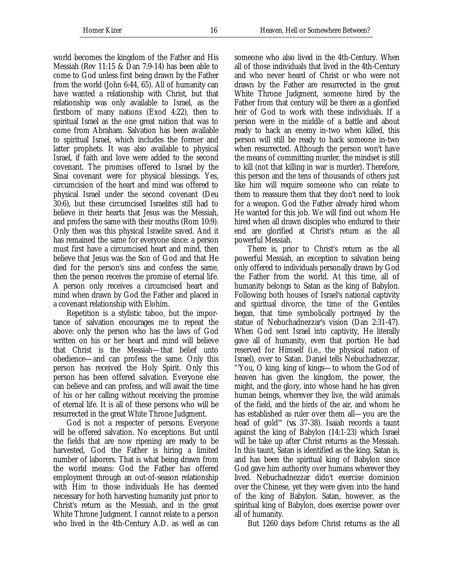world becomes the kingdom of the Father and His Messiah (Rev 11:15 & Dan 7:9-14) has been able to come to God unless first being drawn by the Father from the world (John 6:44, 65). All of humanity can have wanted a relationship with Christ, but that relationship was only available to Israel, as the firstborn of many nations (Exod 4:22), then to spiritual Israel as the one great nation that was to come from Abraham. Salvation has been available to spiritual Israel, which includes the former and latter prophets. It was also available to physical Israel, if faith and love were added to the second covenant. The promises offered to Israel by the Sinai covenant were for physical blessings. Yes, circumcision of the heart and mind was offered to physical Israel under the second covenant (Deu 30:6), but these circumcised Israelites still had to believe in their hearts that Jesus was the Messiah, and profess the same with their mouths (Rom 10:9). Only then was this physical Israelite saved. And it has remained the same for everyone since: a person must first have a circumcised heart and mind, then believe that Jesus was the Son of God and that He died for the person's sins and confess the same, then the person receives the promise of eternal life. A person only receives a circumcised heart and mind when drawn by God the Father and placed in a covenant relationship with Elohim.

Repetition is a stylistic taboo, but the importance of salvation encourages me to repeat the above: only the person who has the laws of God written on his or her heart and mind will believe that Christ is the Messiah—that belief unto obedience—and can profess the same. Only this person has received the Holy Spirit. Only this person has been offered salvation. Everyone else can believe and can profess, and will await the time of his or her calling without receiving the promise of eternal life. It is all of these persons who will be resurrected in the great White Throne Judgment.

God is not a respecter of persons. Everyone will be offered salvation. No exceptions. But until the fields that are now ripening are ready to be harvested, God the Father is hiring a limited number of laborers. That is what being drawn from the world means: God the Father has offered employment through an out-of-season relationship with Him to those individuals He has deemed necessary for both harvesting humanity just prior to Christ's return as the Messiah, and in the great White Throne Judgment. I cannot relate to a person who lived in the 4th-Century A.D. as well as can all of those individuals that lived in the 4th-Century and who never heard of Christ or who were not drawn by the Father are resurrected in the great White Throne Judgment, someone hired by the Father from that century will be there as a glorified heir of God to work with these individuals. If a person were in the middle of a battle and about ready to hack an enemy in-two when killed, this person will still be ready to hack someone in-two when resurrected. Although the person won't have the means of committing murder, the mindset is still to kill (not that killing in war is murder). Therefore, this person and the tens of thousands of others just like him will require someone who can relate to them to reassure them that they don't need to look for a weapon. God the Father already hired whom He wanted for this job. We will find out whom He hired when all drawn disciples who endured to their end are glorified at Christ's return as the all powerful Messiah.

There is, prior to Christ's return as the all powerful Messiah, an exception to salvation being only offered to individuals personally drawn by God the Father from the world. At this time, all of humanity belongs to Satan as the king of Babylon. Following both houses of Israel's national captivity and spiritual divorce, the time of the Gentiles began, that time symbolically portrayed by the statue of Nebuchadnezzar's vision (Dan 2:31-47). When God sent Israel into captivity, He literally gave all of humanity, even that portion He had reserved for Himself (i.e., the physical nation of Israel), over to Satan. Daniel tells Nebuchadnezzar, "'You, O king, king of kings—to whom the God of heaven has given the kingdom, the power, the might, and the glory, into whose hand he has given human beings, wherever they live, the wild animals of the field, and the birds of the air, and whom he has established as ruler over them all—you are the head of gold'" (*vs.* 37-38). Isaiah records a taunt against the king of Babylon (14:1-23) which Israel will be take up after Christ returns as the Messiah. In this taunt, Satan is identified as the king. Satan is, and has been the spiritual king of Babylon since God gave him authority over humans wherever they lived. Nebuchadnezzar didn't exercise dominion over the Chinese, yet they were given into the hand of the king of Babylon. Satan, however, as the spiritual king of Babylon, does exercise power over all of humanity.

But 1260 days before Christ returns as the all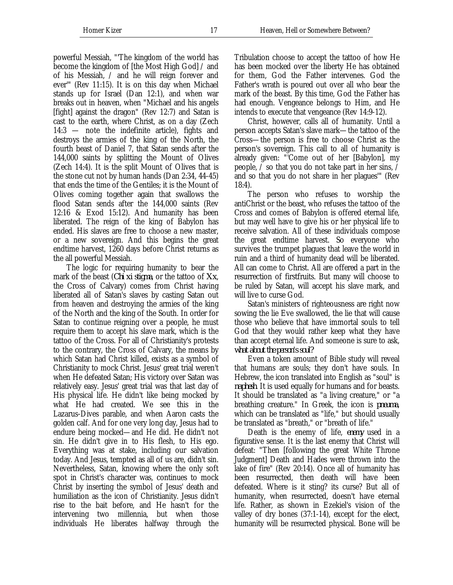powerful Messiah, "'The kingdom of the world has become the kingdom of [the Most High God] / and of his Messiah, / and he will reign forever and ever'" (Rev 11:15). It is on this day when Michael stands up for Israel (Dan 12:1), and when war breaks out in heaven, when "Michael and his angels [fight] against the dragon" (Rev 12:7) and Satan is cast to the earth, where Christ, as on a day (Zech 14:3 — note the indefinite article), fights and destroys the armies of the king of the North, the fourth beast of Daniel 7, that Satan sends after the 144,000 saints by splitting the Mount of Olives (Zech 14:4). It is the split Mount of Olives that is the stone cut not by human hands (Dan 2:34, 44-45) that ends the time of the Gentiles; it is the Mount of Olives coming together again that swallows the flood Satan sends after the 144,000 saints (Rev 12:16 & Exod 15:12). And humanity has been liberated. The reign of the king of Babylon has ended. His slaves are free to choose a new master, or a new sovereign. And this begins the great endtime harvest, 1260 days before Christ returns as the all powerful Messiah.

The logic for requiring humanity to bear the mark of the beast (*Chi xi stigma*, or the tattoo of *Xx*, the Cross of Calvary) comes from Christ having liberated all of Satan's slaves by casting Satan out from heaven and destroying the armies of the king of the North and the king of the South. In order for Satan to continue reigning over a people, he must require them to accept his slave mark, which is the tattoo of the Cross. For all of Christianity's protests to the contrary, the Cross of Calvary, the means by which Satan had Christ killed, exists as a symbol of Christianity to mock Christ. Jesus' great trial weren't when He defeated Satan; His victory over Satan was relatively easy. Jesus' great trial was that last day of His physical life. He didn't like being mocked by what He had created. We see this in the Lazarus-Dives parable, and when Aaron casts the golden calf. And for one very long day, Jesus had to endure being mocked—and He did. He didn't not sin. He didn't give in to His flesh, to His ego. Everything was at stake, including our salvation today. And Jesus, tempted as all of us are, didn't sin. Nevertheless, Satan, knowing where the only soft spot in Christ's character was, continues to mock Christ by inserting the symbol of Jesus' death and humiliation as the icon of Christianity. Jesus didn't rise to the bait before, and He hasn't for the intervening two millennia, but when those individuals He liberates halfway through the

Tribulation choose to accept the tattoo of how He has been mocked over the liberty He has obtained for them, God the Father intervenes. God the Father's wrath is poured out over all who bear the mark of the beast. By this time, God the Father has had enough. Vengeance belongs to Him, and He intends to execute that vengeance (Rev 14:9-12).

Christ, however, calls all of humanity. Until a person accepts Satan's slave mark—the tattoo of the Cross—the person is free to choose Christ as the person's sovereign. This call to all of humanity is already given: "'Come out of her [Babylon], my people,  $\bar{\ }$  so that you do not take part in her sins,  $\bar{\ }$ and so that you do not share in her plagues'" (Rev 18:4).

The person who refuses to worship the antiChrist or the beast, who refuses the tattoo of the Cross and comes of Babylon is offered eternal life, but may well have to give his or her physical life to receive salvation. All of these individuals compose the great endtime harvest. So everyone who survives the trumpet plagues that leave the world in ruin and a third of humanity dead will be liberated. All can come to Christ. All are offered a part in the resurrection of firstfruits. But many will choose to be ruled by Satan, will accept his slave mark, and will live to curse God.

Satan's ministers of righteousness are right now sowing the lie Eve swallowed, the lie that will cause those who believe that have immortal souls to tell God that they would rather keep what they have than accept eternal life. And someone is sure to ask, *what about the person's soul?*

Even a token amount of Bible study will reveal that humans are souls; they don't have souls. In Hebrew, the icon translated into English as "soul" is *naphesh*. It is used equally for humans and for beasts. It should be translated as "a living creature," or "a breathing creature." In Greek, the icon is *pneuma*, which can be translated as "life," but should usually be translated as "breath," or "breath of life."

Death is the enemy of life, *enemy* used in a figurative sense. It is the last enemy that Christ will defeat: "Then [following the great White Throne Judgment] Death and Hades were thrown into the lake of fire" (Rev 20:14). Once all of humanity has been resurrected, then death will have been defeated. Where is it sting? its curse? But all of humanity, when resurrected, doesn't have eternal life. Rather, as shown in Ezekiel's vision of the valley of dry bones (37:1-14), except for the elect, humanity will be resurrected physical. Bone will be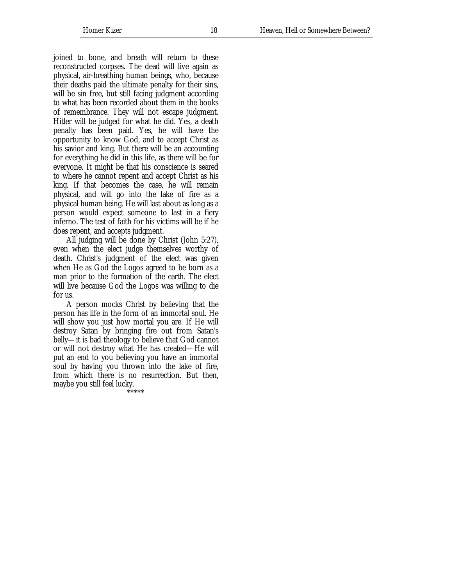joined to bone, and breath will return to these reconstructed corpses. The dead will live again as physical, air-breathing human beings, who, because their deaths paid the ultimate penalty for their sins, will be sin free, but still facing judgment according to what has been recorded about them in the books of remembrance. They will not escape judgment. Hitler will be judged for what he did. Yes, a death penalty has been paid. Yes, he will have the opportunity to know God, and to accept Christ as his savior and king. But there will be an accounting for everything he did in this life, as there will be for everyone. It might be that his conscience is seared to where he cannot repent and accept Christ as his king. If that becomes the case, he will remain physical, and will go into the lake of fire as a physical human being. He will last about as long as a person would expect someone to last in a fiery inferno. The test of faith for his victims will be if he does repent, and accepts judgment.

All judging will be done by Christ (John 5:27), even when the elect judge themselves worthy of death. Christ's judgment of the elect was given when He as God the Logos agreed to be born as a man prior to the formation of the earth. The elect will live because God the Logos was willing to die for us.

A person mocks Christ by believing that the person has life in the form of an immortal soul. He will show you just how mortal you are. If He will destroy Satan by bringing fire out from Satan's belly—it is bad theology to believe that God cannot or will not destroy what He has created—He will put an end to you believing you have an immortal soul by having you thrown into the lake of fire, from which there is no resurrection. But then, maybe you still feel lucky.

.<br>\*\*\*\*\*